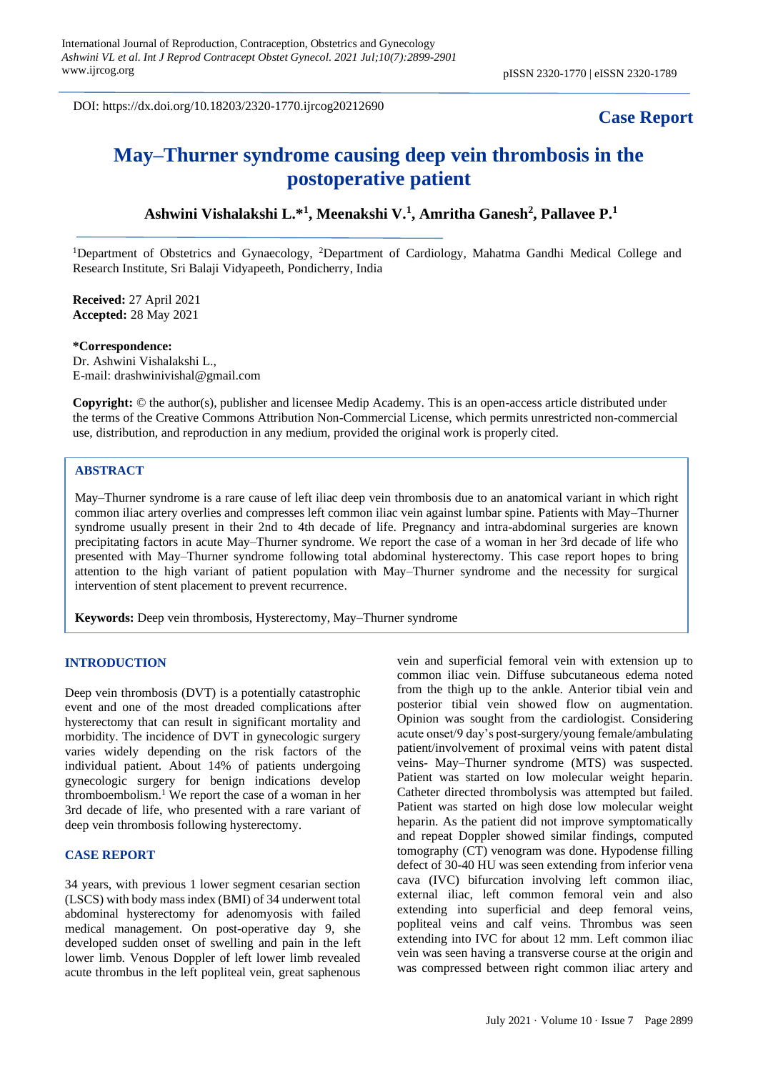DOI: https://dx.doi.org/10.18203/2320-1770.ijrcog20212690

# **Case Report**

# **May–Thurner syndrome causing deep vein thrombosis in the postoperative patient**

**Ashwini Vishalakshi L.\*<sup>1</sup> , Meenakshi V.<sup>1</sup> , Amritha Ganesh<sup>2</sup> , Pallavee P.<sup>1</sup>**

<sup>1</sup>Department of Obstetrics and Gynaecology, <sup>2</sup>Department of Cardiology, Mahatma Gandhi Medical College and Research Institute, Sri Balaji Vidyapeeth, Pondicherry, India

**Received:** 27 April 2021 **Accepted:** 28 May 2021

**\*Correspondence:**

Dr. Ashwini Vishalakshi L., E-mail: drashwinivishal@gmail.com

**Copyright:** © the author(s), publisher and licensee Medip Academy. This is an open-access article distributed under the terms of the Creative Commons Attribution Non-Commercial License, which permits unrestricted non-commercial use, distribution, and reproduction in any medium, provided the original work is properly cited.

#### **ABSTRACT**

May–Thurner syndrome is a rare cause of left iliac deep vein thrombosis due to an anatomical variant in which right common iliac artery overlies and compresses left common iliac vein against lumbar spine. Patients with May–Thurner syndrome usually present in their 2nd to 4th decade of life. Pregnancy and intra-abdominal surgeries are known precipitating factors in acute May–Thurner syndrome. We report the case of a woman in her 3rd decade of life who presented with May–Thurner syndrome following total abdominal hysterectomy. This case report hopes to bring attention to the high variant of patient population with May–Thurner syndrome and the necessity for surgical intervention of stent placement to prevent recurrence.

**Keywords:** Deep vein thrombosis, Hysterectomy, May–Thurner syndrome

#### **INTRODUCTION**

Deep vein thrombosis (DVT) is a potentially catastrophic event and one of the most dreaded complications after hysterectomy that can result in significant mortality and morbidity. The incidence of DVT in gynecologic surgery varies widely depending on the risk factors of the individual patient. About 14% of patients undergoing gynecologic surgery for benign indications develop thromboembolism.<sup>1</sup> We report the case of a woman in her 3rd decade of life, who presented with a rare variant of deep vein thrombosis following hysterectomy.

## **CASE REPORT**

34 years, with previous 1 lower segment cesarian section (LSCS) with body mass index (BMI) of 34 underwent total abdominal hysterectomy for adenomyosis with failed medical management. On post-operative day 9, she developed sudden onset of swelling and pain in the left lower limb. Venous Doppler of left lower limb revealed acute thrombus in the left popliteal vein, great saphenous vein and superficial femoral vein with extension up to common iliac vein. Diffuse subcutaneous edema noted from the thigh up to the ankle. Anterior tibial vein and posterior tibial vein showed flow on augmentation. Opinion was sought from the cardiologist. Considering acute onset/9 day's post-surgery/young female/ambulating patient/involvement of proximal veins with patent distal veins- May–Thurner syndrome (MTS) was suspected. Patient was started on low molecular weight heparin. Catheter directed thrombolysis was attempted but failed. Patient was started on high dose low molecular weight heparin. As the patient did not improve symptomatically and repeat Doppler showed similar findings, computed tomography (CT) venogram was done. Hypodense filling defect of 30-40 HU was seen extending from inferior vena cava (IVC) bifurcation involving left common iliac, external iliac, left common femoral vein and also extending into superficial and deep femoral veins, popliteal veins and calf veins. Thrombus was seen extending into IVC for about 12 mm. Left common iliac vein was seen having a transverse course at the origin and was compressed between right common iliac artery and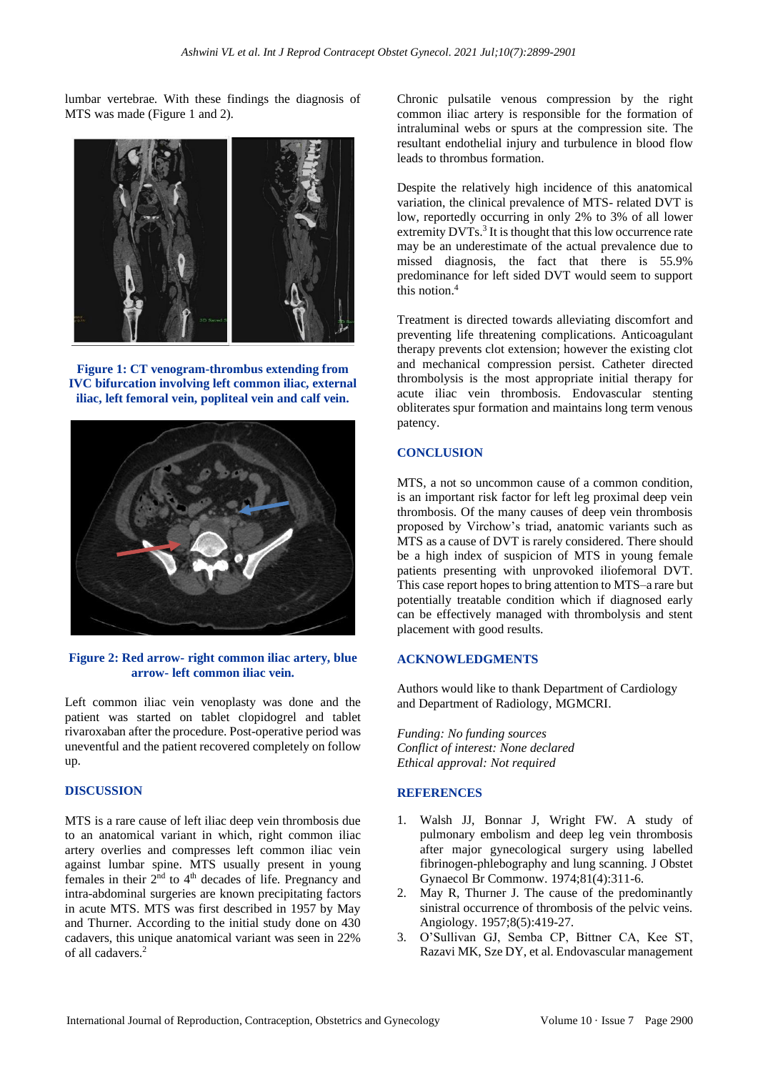lumbar vertebrae. With these findings the diagnosis of MTS was made (Figure 1 and 2).



**Figure 1: CT venogram-thrombus extending from IVC bifurcation involving left common iliac, external iliac, left femoral vein, popliteal vein and calf vein.**



**Figure 2: Red arrow- right common iliac artery, blue arrow- left common iliac vein.**

Left common iliac vein venoplasty was done and the patient was started on tablet clopidogrel and tablet rivaroxaban after the procedure. Post-operative period was uneventful and the patient recovered completely on follow up.

## **DISCUSSION**

MTS is a rare cause of left iliac deep vein thrombosis due to an anatomical variant in which, right common iliac artery overlies and compresses left common iliac vein against lumbar spine. MTS usually present in young females in their  $2<sup>nd</sup>$  to  $4<sup>th</sup>$  decades of life. Pregnancy and intra-abdominal surgeries are known precipitating factors in acute MTS. MTS was first described in 1957 by May and Thurner. According to the initial study done on 430 cadavers, this unique anatomical variant was seen in 22% of all cadavers. 2

Chronic pulsatile venous compression by the right common iliac artery is responsible for the formation of intraluminal webs or spurs at the compression site. The resultant endothelial injury and turbulence in blood flow leads to thrombus formation.

Despite the relatively high incidence of this anatomical variation, the clinical prevalence of MTS- related DVT is low, reportedly occurring in only 2% to 3% of all lower extremity DVTs.<sup>3</sup> It is thought that this low occurrence rate may be an underestimate of the actual prevalence due to missed diagnosis, the fact that there is 55.9% predominance for left sided DVT would seem to support this notion. 4

Treatment is directed towards alleviating discomfort and preventing life threatening complications. Anticoagulant therapy prevents clot extension; however the existing clot and mechanical compression persist. Catheter directed thrombolysis is the most appropriate initial therapy for acute iliac vein thrombosis. Endovascular stenting obliterates spur formation and maintains long term venous patency.

### **CONCLUSION**

MTS, a not so uncommon cause of a common condition, is an important risk factor for left leg proximal deep vein thrombosis. Of the many causes of deep vein thrombosis proposed by Virchow's triad, anatomic variants such as MTS as a cause of DVT is rarely considered. There should be a high index of suspicion of MTS in young female patients presenting with unprovoked iliofemoral DVT. This case report hopes to bring attention to MTS–a rare but potentially treatable condition which if diagnosed early can be effectively managed with thrombolysis and stent placement with good results.

#### **ACKNOWLEDGMENTS**

Authors would like to thank Department of Cardiology and Department of Radiology, MGMCRI.

*Funding: No funding sources Conflict of interest: None declared Ethical approval: Not required*

#### **REFERENCES**

- 1. Walsh JJ, Bonnar J, Wright FW. A study of pulmonary embolism and deep leg vein thrombosis after major gynecological surgery using labelled fibrinogen-phlebography and lung scanning. J Obstet Gynaecol Br Commonw. 1974;81(4):311-6.
- 2. May R, Thurner J. The cause of the predominantly sinistral occurrence of thrombosis of the pelvic veins. Angiology. 1957;8(5):419-27.
- 3. O'Sullivan GJ, Semba CP, Bittner CA, Kee ST, Razavi MK, Sze DY, et al. Endovascular management